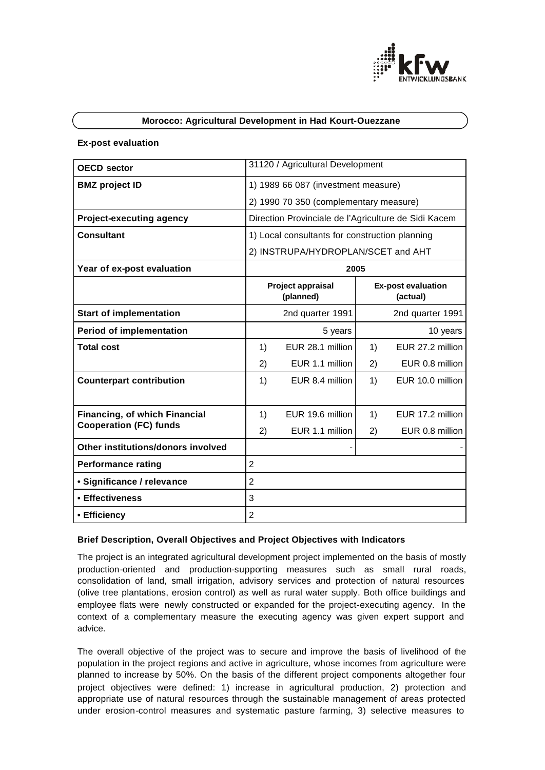

# **Morocco: Agricultural Development in Had Kourt-Ouezzane**

### **Ex-post evaluation**

| <b>OECD</b> sector                 |                                                      | 31120 / Agricultural Development     |                                       |                  |  |
|------------------------------------|------------------------------------------------------|--------------------------------------|---------------------------------------|------------------|--|
| <b>BMZ</b> project ID              | 1) 1989 66 087 (investment measure)                  |                                      |                                       |                  |  |
|                                    | 2) 1990 70 350 (complementary measure)               |                                      |                                       |                  |  |
| <b>Project-executing agency</b>    | Direction Provinciale de l'Agriculture de Sidi Kacem |                                      |                                       |                  |  |
| <b>Consultant</b>                  | 1) Local consultants for construction planning       |                                      |                                       |                  |  |
|                                    | 2) INSTRUPA/HYDROPLAN/SCET and AHT                   |                                      |                                       |                  |  |
| Year of ex-post evaluation         | 2005                                                 |                                      |                                       |                  |  |
|                                    | Project appraisal<br>(planned)                       |                                      | <b>Ex-post evaluation</b><br>(actual) |                  |  |
| <b>Start of implementation</b>     |                                                      | 2nd quarter 1991<br>2nd quarter 1991 |                                       |                  |  |
| <b>Period of implementation</b>    |                                                      | 5 years                              |                                       | 10 years         |  |
| <b>Total cost</b>                  | 1)                                                   | EUR 28.1 million                     | 1)                                    | EUR 27.2 million |  |
|                                    | 2)                                                   | EUR 1.1 million                      | 2)                                    | EUR 0.8 million  |  |
| <b>Counterpart contribution</b>    | 1)                                                   | EUR 8.4 million                      | 1)                                    | EUR 10.0 million |  |
|                                    |                                                      |                                      |                                       |                  |  |
| Financing, of which Financial      | 1)                                                   | EUR 19.6 million                     | 1)                                    | EUR 17.2 million |  |
| <b>Cooperation (FC) funds</b>      | 2)                                                   | EUR 1.1 million                      | 2)                                    | EUR 0.8 million  |  |
| Other institutions/donors involved |                                                      |                                      |                                       |                  |  |
| <b>Performance rating</b>          | $\overline{2}$                                       |                                      |                                       |                  |  |
| • Significance / relevance         | $\overline{2}$                                       |                                      |                                       |                  |  |
| • Effectiveness                    | 3                                                    |                                      |                                       |                  |  |
| • Efficiency                       | $\overline{2}$                                       |                                      |                                       |                  |  |

### **Brief Description, Overall Objectives and Project Objectives with Indicators**

The project is an integrated agricultural development project implemented on the basis of mostly production-oriented and production-supporting measures such as small rural roads, consolidation of land, small irrigation, advisory services and protection of natural resources (olive tree plantations, erosion control) as well as rural water supply. Both office buildings and employee flats were newly constructed or expanded for the project-executing agency. In the context of a complementary measure the executing agency was given expert support and advice.

The overall objective of the project was to secure and improve the basis of livelihood of the population in the project regions and active in agriculture, whose incomes from agriculture were planned to increase by 50%. On the basis of the different project components altogether four project objectives were defined: 1) increase in agricultural production, 2) protection and appropriate use of natural resources through the sustainable management of areas protected under erosion-control measures and systematic pasture farming, 3) selective measures to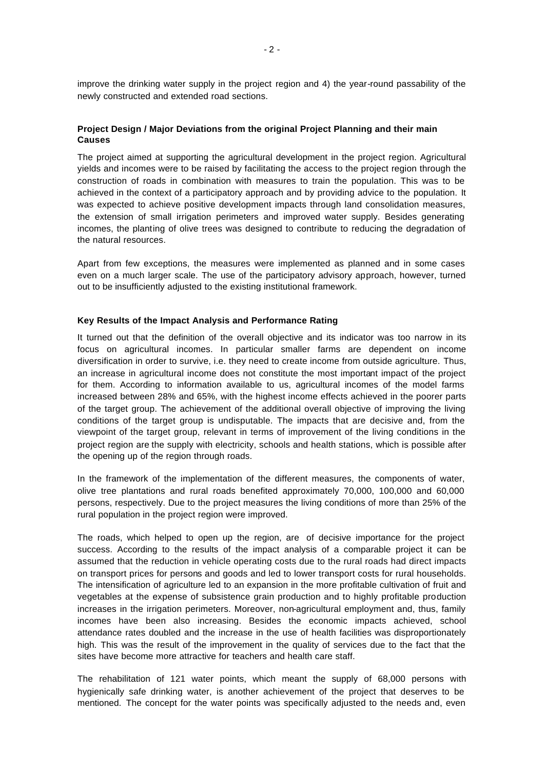improve the drinking water supply in the project region and 4) the year-round passability of the newly constructed and extended road sections.

# **Project Design / Major Deviations from the original Project Planning and their main Causes**

The project aimed at supporting the agricultural development in the project region. Agricultural yields and incomes were to be raised by facilitating the access to the project region through the construction of roads in combination with measures to train the population. This was to be achieved in the context of a participatory approach and by providing advice to the population. It was expected to achieve positive development impacts through land consolidation measures, the extension of small irrigation perimeters and improved water supply. Besides generating incomes, the planting of olive trees was designed to contribute to reducing the degradation of the natural resources.

Apart from few exceptions, the measures were implemented as planned and in some cases even on a much larger scale. The use of the participatory advisory approach, however, turned out to be insufficiently adjusted to the existing institutional framework.

### **Key Results of the Impact Analysis and Performance Rating**

It turned out that the definition of the overall objective and its indicator was too narrow in its focus on agricultural incomes. In particular smaller farms are dependent on income diversification in order to survive, i.e. they need to create income from outside agriculture. Thus, an increase in agricultural income does not constitute the most important impact of the project for them. According to information available to us, agricultural incomes of the model farms increased between 28% and 65%, with the highest income effects achieved in the poorer parts of the target group. The achievement of the additional overall objective of improving the living conditions of the target group is undisputable. The impacts that are decisive and, from the viewpoint of the target group, relevant in terms of improvement of the living conditions in the project region are the supply with electricity, schools and health stations, which is possible after the opening up of the region through roads.

In the framework of the implementation of the different measures, the components of water, olive tree plantations and rural roads benefited approximately 70,000, 100,000 and 60,000 persons, respectively. Due to the project measures the living conditions of more than 25% of the rural population in the project region were improved.

The roads, which helped to open up the region, are of decisive importance for the project success. According to the results of the impact analysis of a comparable project it can be assumed that the reduction in vehicle operating costs due to the rural roads had direct impacts on transport prices for persons and goods and led to lower transport costs for rural households. The intensification of agriculture led to an expansion in the more profitable cultivation of fruit and vegetables at the expense of subsistence grain production and to highly profitable production increases in the irrigation perimeters. Moreover, non-agricultural employment and, thus, family incomes have been also increasing. Besides the economic impacts achieved, school attendance rates doubled and the increase in the use of health facilities was disproportionately high. This was the result of the improvement in the quality of services due to the fact that the sites have become more attractive for teachers and health care staff.

The rehabilitation of 121 water points, which meant the supply of 68,000 persons with hygienically safe drinking water, is another achievement of the project that deserves to be mentioned. The concept for the water points was specifically adjusted to the needs and, even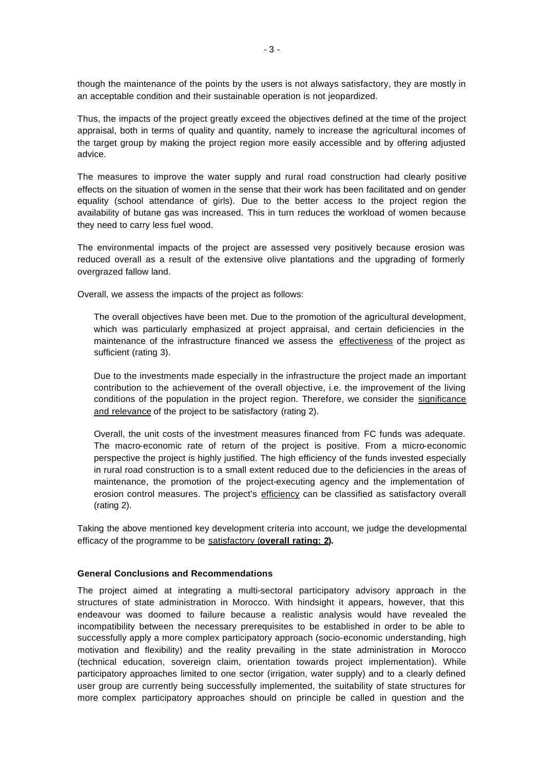though the maintenance of the points by the users is not always satisfactory, they are mostly in an acceptable condition and their sustainable operation is not jeopardized.

Thus, the impacts of the project greatly exceed the objectives defined at the time of the project appraisal, both in terms of quality and quantity, namely to increase the agricultural incomes of the target group by making the project region more easily accessible and by offering adjusted advice.

The measures to improve the water supply and rural road construction had clearly positive effects on the situation of women in the sense that their work has been facilitated and on gender equality (school attendance of girls). Due to the better access to the project region the availability of butane gas was increased. This in turn reduces the workload of women because they need to carry less fuel wood.

The environmental impacts of the project are assessed very positively because erosion was reduced overall as a result of the extensive olive plantations and the upgrading of formerly overgrazed fallow land.

Overall, we assess the impacts of the project as follows:

The overall objectives have been met. Due to the promotion of the agricultural development, which was particularly emphasized at project appraisal, and certain deficiencies in the maintenance of the infrastructure financed we assess the effectiveness of the project as sufficient (rating 3).

Due to the investments made especially in the infrastructure the project made an important contribution to the achievement of the overall objective, i.e. the improvement of the living conditions of the population in the project region. Therefore, we consider the significance and relevance of the project to be satisfactory (rating 2).

Overall, the unit costs of the investment measures financed from FC funds was adequate. The macro-economic rate of return of the project is positive. From a micro-economic perspective the project is highly justified. The high efficiency of the funds invested especially in rural road construction is to a small extent reduced due to the deficiencies in the areas of maintenance, the promotion of the project-executing agency and the implementation of erosion control measures. The project's efficiency can be classified as satisfactory overall (rating 2).

Taking the above mentioned key development criteria into account, we judge the developmental efficacy of the programme to be satisfactory (**overall rating: 2).**

#### **General Conclusions and Recommendations**

The project aimed at integrating a multi-sectoral participatory advisory approach in the structures of state administration in Morocco. With hindsight it appears, however, that this endeavour was doomed to failure because a realistic analysis would have revealed the incompatibility between the necessary prerequisites to be established in order to be able to successfully apply a more complex participatory approach (socio-economic understanding, high motivation and flexibility) and the reality prevailing in the state administration in Morocco (technical education, sovereign claim, orientation towards project implementation). While participatory approaches limited to one sector (irrigation, water supply) and to a clearly defined user group are currently being successfully implemented, the suitability of state structures for more complex participatory approaches should on principle be called in question and the